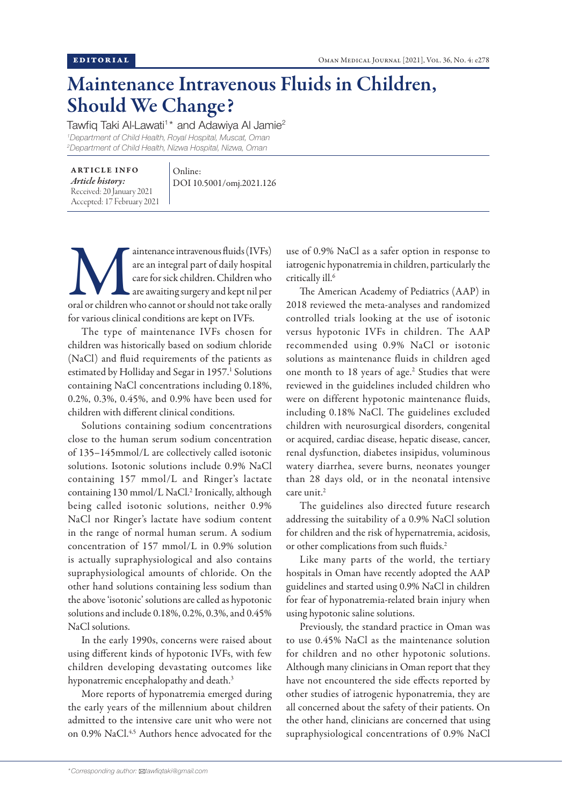## Maintenance Intravenous Fluids in Children, Should We Change?

Tawfiq Taki Al-Lawati<sup>1\*</sup> and Adawiya Al Jamie<sup>2</sup> *1 Department of Child Health, Royal Hospital, Muscat, Oman 2 Department of Child Health, Nizwa Hospital, Nizwa, Oman*

ARTICLE INFO *Article history:* Received: 20 January 2021 Accepted: 17 February 2021 Online: DOI 10.5001/omj.2021.126

aintenance intravenous fluids (IVFs)<br>are an integral part of daily hospital<br>care for sick children. Children who<br>are awaiting surgery and kept nil per<br>oral or children who cannot or should not take orally are an integral part of daily hospital care for sick children. Children who are awaiting surgery and kept nil per for various clinical conditions are kept on IVFs.

The type of maintenance IVFs chosen for children was historically based on sodium chloride (NaCl) and fluid requirements of the patients as estimated by Holliday and Segar in 1957.<sup>1</sup> Solutions containing NaCl concentrations including 0.18%, 0.2%, 0.3%, 0.45%, and 0.9% have been used for children with different clinical conditions.

Solutions containing sodium concentrations close to the human serum sodium concentration of 135–145mmol/L are collectively called isotonic solutions. Isotonic solutions include 0.9% NaCl containing 157 mmol/L and Ringer's lactate containing 130 mmol/L NaCl.<sup>2</sup> Ironically, although being called isotonic solutions, neither 0.9% NaCl nor Ringer's lactate have sodium content in the range of normal human serum. A sodium concentration of 157 mmol/L in 0.9% solution is actually supraphysiological and also contains supraphysiological amounts of chloride. On the other hand solutions containing less sodium than the above 'isotonic' solutions are called as hypotonic solutions and include 0.18%, 0.2%, 0.3%, and 0.45% NaCl solutions.

In the early 1990s, concerns were raised about using different kinds of hypotonic IVFs, with few children developing devastating outcomes like hyponatremic encephalopathy and death.<sup>3</sup>

More reports of hyponatremia emerged during the early years of the millennium about children admitted to the intensive care unit who were not on 0.9% NaCl.<sup>4,5</sup> Authors hence advocated for the

use of 0.9% NaCl as a safer option in response to iatrogenic hyponatremia in children, particularly the critically ill.6

The American Academy of Pediatrics (AAP) in 2018 reviewed the meta-analyses and randomized controlled trials looking at the use of isotonic versus hypotonic IVFs in children. The AAP recommended using 0.9% NaCl or isotonic solutions as maintenance fluids in children aged one month to 18 years of age.<sup>2</sup> Studies that were reviewed in the guidelines included children who were on different hypotonic maintenance fluids, including 0.18% NaCl. The guidelines excluded children with neurosurgical disorders, congenital or acquired, cardiac disease, hepatic disease, cancer, renal dysfunction, diabetes insipidus, voluminous watery diarrhea, severe burns, neonates younger than 28 days old, or in the neonatal intensive care unit.<sup>2</sup>

The guidelines also directed future research addressing the suitability of a 0.9% NaCl solution for children and the risk of hypernatremia, acidosis, or other complications from such fluids.<sup>2</sup>

Like many parts of the world, the tertiary hospitals in Oman have recently adopted the AAP guidelines and started using 0.9% NaCl in children for fear of hyponatremia-related brain injury when using hypotonic saline solutions.

Previously, the standard practice in Oman was to use 0.45% NaCl as the maintenance solution for children and no other hypotonic solutions. Although many clinicians in Oman report that they have not encountered the side effects reported by other studies of iatrogenic hyponatremia, they are all concerned about the safety of their patients. On the other hand, clinicians are concerned that using supraphysiological concentrations of 0.9% NaCl